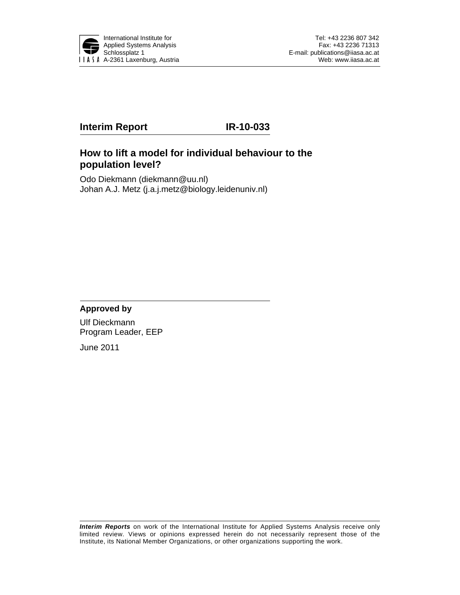

# **Interim Report IR-10-033**

# **How to lift a model for individual behaviour to the population level?**

Odo Diekmann (diekmann@uu.nl) Johan A.J. Metz (j.a.j.metz@biology.leidenuniv.nl)

## **Approved by**

Ulf Dieckmann Program Leader, EEP

June 2011

*Interim Reports* on work of the International Institute for Applied Systems Analysis receive only limited review. Views or opinions expressed herein do not necessarily represent those of the Institute, its National Member Organizations, or other organizations supporting the work.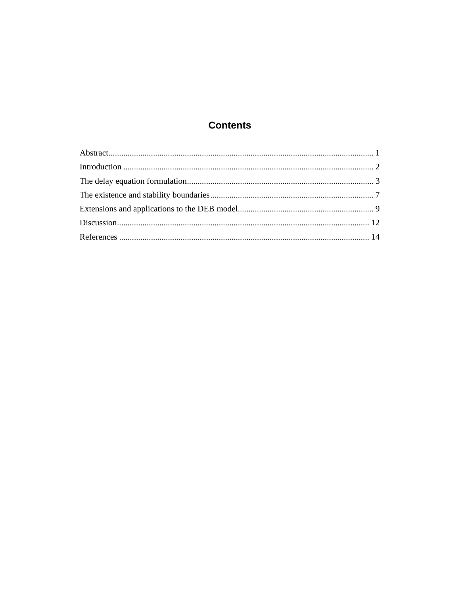# **Contents**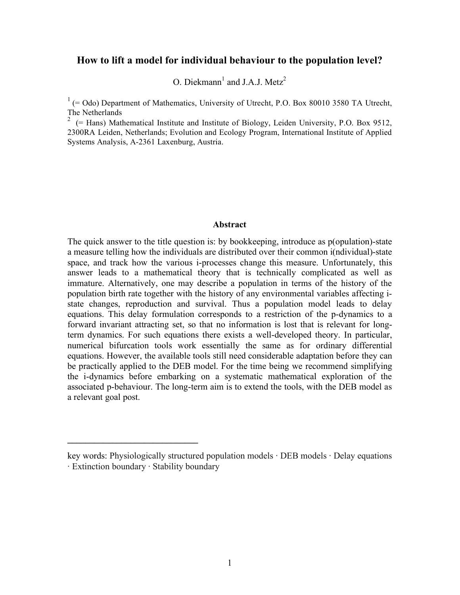# **How to lift a model for individual behaviour to the population level?**

O. Diekmann<sup>1</sup> and J.A.J. Metz<sup>2</sup>

 $1$  (= Odo) Department of Mathematics, University of Utrecht, P.O. Box 80010 3580 TA Utrecht, The Netherlands

 $2^2$  (= Hans) Mathematical Institute and Institute of Biology, Leiden University, P.O. Box 9512, 2300RA Leiden, Netherlands; Evolution and Ecology Program, International Institute of Applied Systems Analysis, A-2361 Laxenburg, Austria.

### **Abstract**

The quick answer to the title question is: by bookkeeping, introduce as p(opulation)-state a measure telling how the individuals are distributed over their common i(ndividual)-state space, and track how the various i-processes change this measure. Unfortunately, this answer leads to a mathematical theory that is technically complicated as well as immature. Alternatively, one may describe a population in terms of the history of the population birth rate together with the history of any environmental variables affecting istate changes, reproduction and survival. Thus a population model leads to delay equations. This delay formulation corresponds to a restriction of the p-dynamics to a forward invariant attracting set, so that no information is lost that is relevant for longterm dynamics. For such equations there exists a well-developed theory. In particular, numerical bifurcation tools work essentially the same as for ordinary differential equations. However, the available tools still need considerable adaptation before they can be practically applied to the DEB model. For the time being we recommend simplifying the i-dynamics before embarking on a systematic mathematical exploration of the associated p-behaviour. The long-term aim is to extend the tools, with the DEB model as a relevant goal post.

**\_\_\_\_\_\_\_\_\_\_\_\_\_\_\_\_\_\_\_\_\_\_\_\_\_\_\_\_\_**

key words: Physiologically structured population models · DEB models · Delay equations · Extinction boundary · Stability boundary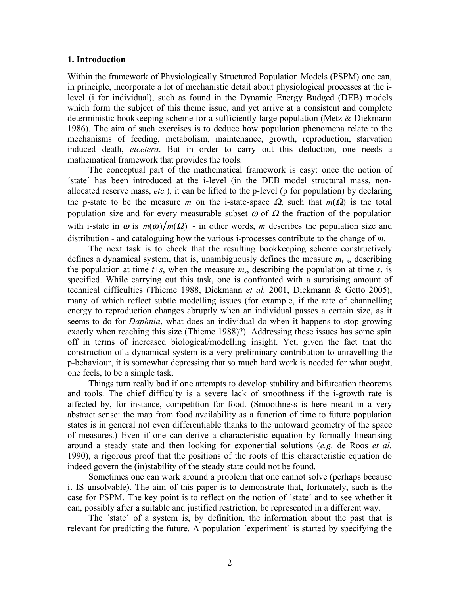### **1. Introduction**

Within the framework of Physiologically Structured Population Models (PSPM) one can, in principle, incorporate a lot of mechanistic detail about physiological processes at the ilevel (i for individual), such as found in the Dynamic Energy Budged (DEB) models which form the subject of this theme issue, and yet arrive at a consistent and complete deterministic bookkeeping scheme for a sufficiently large population (Metz & Diekmann 1986). The aim of such exercises is to deduce how population phenomena relate to the mechanisms of feeding, metabolism, maintenance, growth, reproduction, starvation induced death, *etcetera*. But in order to carry out this deduction, one needs a mathematical framework that provides the tools.

The conceptual part of the mathematical framework is easy: once the notion of ´state´ has been introduced at the i-level (in the DEB model structural mass, nonallocated reserve mass, *etc.*), it can be lifted to the p-level (p for population) by declaring the p-state to be the measure *m* on the i-state-space  $\Omega$ , such that  $m(\Omega)$  is the total population size and for every measurable subset  $\omega$  of  $\Omega$  the fraction of the population with i-state in  $\omega$  is  $m(\omega)/m(\Omega)$  - in other words, *m* describes the population size and distribution - and cataloguing how the various i-processes contribute to the change of *m*.

The next task is to check that the resulting bookkeeping scheme constructively defines a dynamical system, that is, unambiguously defines the measure  $m_{t+s}$ , describing the population at time  $t+s$ , when the measure  $m_s$ , describing the population at time  $s$ , is specified. While carrying out this task, one is confronted with a surprising amount of technical difficulties (Thieme 1988, Diekmann *et al.* 2001, Diekmann & Getto 2005), many of which reflect subtle modelling issues (for example, if the rate of channelling energy to reproduction changes abruptly when an individual passes a certain size, as it seems to do for *Daphnia*, what does an individual do when it happens to stop growing exactly when reaching this size (Thieme 1988)?). Addressing these issues has some spin off in terms of increased biological/modelling insight. Yet, given the fact that the construction of a dynamical system is a very preliminary contribution to unravelling the p-behaviour, it is somewhat depressing that so much hard work is needed for what ought, one feels, to be a simple task.

Things turn really bad if one attempts to develop stability and bifurcation theorems and tools. The chief difficulty is a severe lack of smoothness if the i-growth rate is affected by, for instance, competition for food. (Smoothness is here meant in a very abstract sense: the map from food availability as a function of time to future population states is in general not even differentiable thanks to the untoward geometry of the space of measures.) Even if one can derive a characteristic equation by formally linearising around a steady state and then looking for exponential solutions (*e.g.* de Roos *et al.* 1990), a rigorous proof that the positions of the roots of this characteristic equation do indeed govern the (in)stability of the steady state could not be found.

Sometimes one can work around a problem that one cannot solve (perhaps because it IS unsolvable). The aim of this paper is to demonstrate that, fortunately, such is the case for PSPM. The key point is to reflect on the notion of ´state´ and to see whether it can, possibly after a suitable and justified restriction, be represented in a different way.

The ´state´ of a system is, by definition, the information about the past that is relevant for predicting the future. A population ´experiment´ is started by specifying the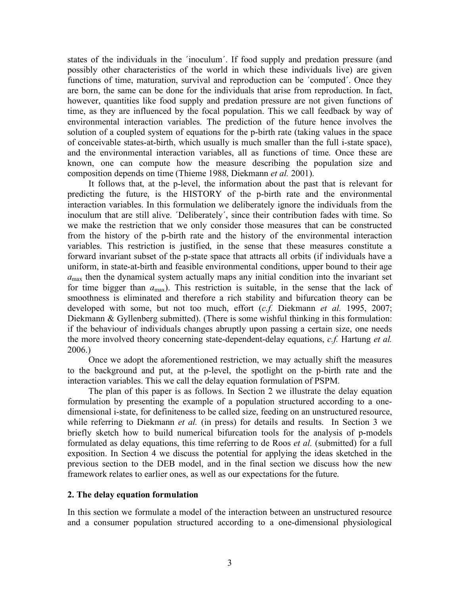states of the individuals in the ´inoculum´. If food supply and predation pressure (and possibly other characteristics of the world in which these individuals live) are given functions of time, maturation, survival and reproduction can be ´computed´. Once they are born, the same can be done for the individuals that arise from reproduction. In fact, however, quantities like food supply and predation pressure are not given functions of time, as they are influenced by the focal population. This we call feedback by way of environmental interaction variables. The prediction of the future hence involves the solution of a coupled system of equations for the p-birth rate (taking values in the space of conceivable states-at-birth, which usually is much smaller than the full i-state space), and the environmental interaction variables, all as functions of time. Once these are known, one can compute how the measure describing the population size and composition depends on time (Thieme 1988, Diekmann *et al.* 2001).

It follows that, at the p-level, the information about the past that is relevant for predicting the future, is the HISTORY of the p-birth rate and the environmental interaction variables. In this formulation we deliberately ignore the individuals from the inoculum that are still alive. ´Deliberately´, since their contribution fades with time. So we make the restriction that we only consider those measures that can be constructed from the history of the p-birth rate and the history of the environmental interaction variables. This restriction is justified, in the sense that these measures constitute a forward invariant subset of the p-state space that attracts all orbits (if individuals have a uniform, in state-at-birth and feasible environmental conditions, upper bound to their age  $a<sub>max</sub>$  then the dynamical system actually maps any initial condition into the invariant set for time bigger than *a*max). This restriction is suitable, in the sense that the lack of smoothness is eliminated and therefore a rich stability and bifurcation theory can be developed with some, but not too much, effort (*c.f.* Diekmann *et al.* 1995, 2007; Diekmann & Gyllenberg submitted). (There is some wishful thinking in this formulation: if the behaviour of individuals changes abruptly upon passing a certain size, one needs the more involved theory concerning state-dependent-delay equations, *c.f.* Hartung *et al.* 2006.)

Once we adopt the aforementioned restriction, we may actually shift the measures to the background and put, at the p-level, the spotlight on the p-birth rate and the interaction variables. This we call the delay equation formulation of PSPM.

The plan of this paper is as follows. In Section 2 we illustrate the delay equation formulation by presenting the example of a population structured according to a onedimensional i-state, for definiteness to be called size, feeding on an unstructured resource, while referring to Diekmann *et al.* (in press) for details and results. In Section 3 we briefly sketch how to build numerical bifurcation tools for the analysis of p-models formulated as delay equations, this time referring to de Roos *et al.* (submitted) for a full exposition. In Section 4 we discuss the potential for applying the ideas sketched in the previous section to the DEB model, and in the final section we discuss how the new framework relates to earlier ones, as well as our expectations for the future.

### **2. The delay equation formulation**

In this section we formulate a model of the interaction between an unstructured resource and a consumer population structured according to a one-dimensional physiological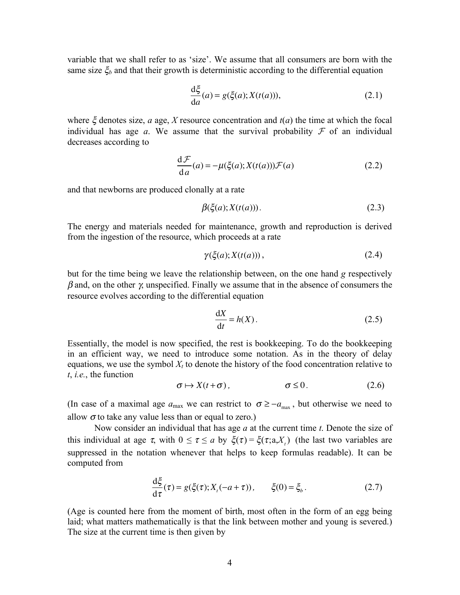variable that we shall refer to as 'size'. We assume that all consumers are born with the same size  $\xi_b$  and that their growth is deterministic according to the differential equation

$$
\frac{\mathrm{d}\xi}{\mathrm{d}a}(a) = g(\xi(a); X(t(a))),\tag{2.1}
$$

where ξ denotes size, *a* age, *X* resource concentration and *t*(*a*) the time at which the focal individual has age *a*. We assume that the survival probability  $\mathcal F$  of an individual decreases according to

$$
\frac{d\mathcal{F}}{da}(a) = -\mu(\xi(a); X(t(a)))\mathcal{F}(a)
$$
\n(2.2)

and that newborns are produced clonally at a rate

$$
\beta(\xi(a); X(t(a))). \tag{2.3}
$$

The energy and materials needed for maintenance, growth and reproduction is derived from the ingestion of the resource, which proceeds at a rate

$$
\gamma(\xi(a); X(t(a))), \qquad (2.4)
$$

but for the time being we leave the relationship between, on the one hand *g* respectively  $\beta$  and, on the other  $\gamma$ , unspecified. Finally we assume that in the absence of consumers the resource evolves according to the differential equation

$$
\frac{\mathrm{d}X}{\mathrm{d}t} = h(X). \tag{2.5}
$$

Essentially, the model is now specified, the rest is bookkeeping. To do the bookkeeping in an efficient way, we need to introduce some notation. As in the theory of delay equations, we use the symbol  $X_t$  to denote the history of the food concentration relative to *t*, *i.e.*, the function

$$
\sigma \mapsto X(t+\sigma), \qquad \sigma \le 0. \tag{2.6}
$$

(In case of a maximal age  $a_{\text{max}}$  we can restrict to  $\sigma \ge -a_{\text{max}}$ , but otherwise we need to allow  $\sigma$  to take any value less than or equal to zero.)

Now consider an individual that has age *a* at the current time *t*. Denote the size of this individual at age  $\tau$ , with  $0 \le \tau \le a$  by  $\xi(\tau) = \xi(\tau; a, X)$  (the last two variables are suppressed in the notation whenever that helps to keep formulas readable). It can be computed from

$$
\frac{\mathrm{d}\xi}{\mathrm{d}\tau}(\tau) = g(\xi(\tau); X_t(-a+\tau)), \qquad \xi(0) = \xi_b. \tag{2.7}
$$

(Age is counted here from the moment of birth, most often in the form of an egg being laid; what matters mathematically is that the link between mother and young is severed.) The size at the current time is then given by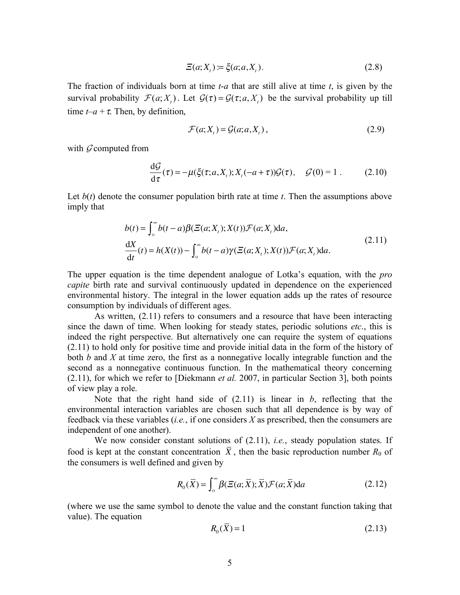$$
\Xi(a; X_t) = \xi(a; a, X_t). \tag{2.8}
$$

The fraction of individuals born at time *t*-*a* that are still alive at time *t*, is given by the survival probability  $\mathcal{F}(a; X_t)$ . Let  $\mathcal{G}(\tau) = \mathcal{G}(\tau; a, X_t)$  be the survival probability up till time  $t-a + \tau$ . Then, by definition,

$$
\mathcal{F}(a; X_t) = \mathcal{G}(a; a, X_t), \qquad (2.9)
$$

with  $\mathcal G$  computed from

$$
\frac{\mathrm{d}\mathcal{G}}{\mathrm{d}\tau}(\tau) = -\mu(\xi(\tau; a, X_t); X_t(-a+\tau))\mathcal{G}(\tau), \quad \mathcal{G}(0) = 1. \tag{2.10}
$$

Let  $b(t)$  denote the consumer population birth rate at time  $t$ . Then the assumptions above imply that

$$
b(t) = \int_0^\infty b(t-a)\beta(\Xi(a;X_t);X(t))\mathcal{F}(a;X_t)da,
$$
  
\n
$$
\frac{dX}{dt}(t) = h(X(t)) - \int_0^\infty b(t-a)\gamma(\Xi(a;X_t);X(t))\mathcal{F}(a;X_t)da.
$$
\n(2.11)

The upper equation is the time dependent analogue of Lotka's equation, with the *pro capite* birth rate and survival continuously updated in dependence on the experienced environmental history. The integral in the lower equation adds up the rates of resource consumption by individuals of different ages.

As written, (2.11) refers to consumers and a resource that have been interacting since the dawn of time. When looking for steady states, periodic solutions *etc*., this is indeed the right perspective. But alternatively one can require the system of equations (2.11) to hold only for positive time and provide initial data in the form of the history of both *b* and *X* at time zero, the first as a nonnegative locally integrable function and the second as a nonnegative continuous function. In the mathematical theory concerning (2.11), for which we refer to [Diekmann *et al.* 2007, in particular Section 3], both points of view play a role.

Note that the right hand side of (2.11) is linear in *b*, reflecting that the environmental interaction variables are chosen such that all dependence is by way of feedback via these variables (*i.e.*, if one considers *X* as prescribed, then the consumers are independent of one another).

We now consider constant solutions of (2.11), *i.e.*, steady population states. If food is kept at the constant concentration  $\overline{X}$ , then the basic reproduction number  $R_0$  of the consumers is well defined and given by

$$
R_0(\overline{X}) = \int_0^\infty \beta(\overline{\mathcal{Z}}(a;\overline{X});\overline{X}) \mathcal{F}(a;\overline{X}) da \qquad (2.12)
$$

(where we use the same symbol to denote the value and the constant function taking that value). The equation

$$
R_0(X) = 1\tag{2.13}
$$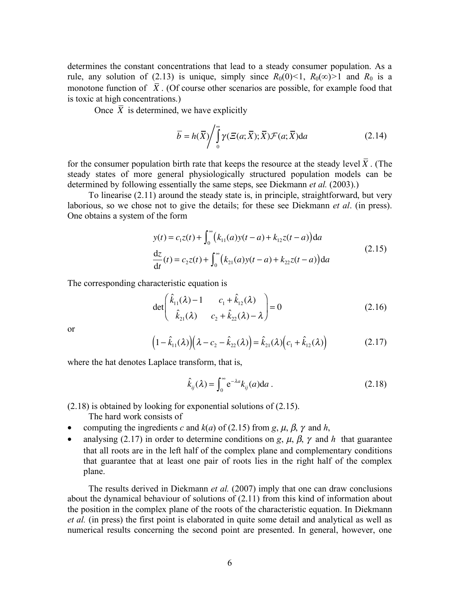determines the constant concentrations that lead to a steady consumer population. As a rule, any solution of (2.13) is unique, simply since  $R_0(0) < 1$ ,  $R_0(\infty) > 1$  and  $R_0$  is a monotone function of  $\overline{X}$ . (Of course other scenarios are possible, for example food that is toxic at high concentrations.)

Once  $\overline{X}$  is determined, we have explicitly

$$
\overline{b} = h(\overline{X}) / \int_{0}^{\infty} \gamma(\overline{\Xi}(a; \overline{X}); \overline{X}) \mathcal{F}(a; \overline{X}) da
$$
 (2.14)

for the consumer population birth rate that keeps the resource at the steady level  $\overline{X}$ . (The steady states of more general physiologically structured population models can be determined by following essentially the same steps, see Diekmann *et al.* (2003).)

To linearise (2.11) around the steady state is, in principle, straightforward, but very laborious, so we chose not to give the details; for these see Diekmann *et al*. (in press). One obtains a system of the form

$$
y(t) = c_1 z(t) + \int_0^\infty (k_{11}(a)y(t-a) + k_{12} z(t-a)) da
$$
  
\n
$$
\frac{dz}{dt}(t) = c_2 z(t) + \int_0^\infty (k_{21}(a)y(t-a) + k_{22} z(t-a)) da
$$
\n(2.15)

The corresponding characteristic equation is

$$
\det \begin{pmatrix} \hat{k}_{11}(\lambda) - 1 & c_1 + \hat{k}_{12}(\lambda) \\ \hat{k}_{21}(\lambda) & c_2 + \hat{k}_{22}(\lambda) - \lambda \end{pmatrix} = 0
$$
 (2.16)

or

$$
(1 - \hat{k}_{11}(\lambda))(\lambda - c_2 - \hat{k}_{22}(\lambda)) = \hat{k}_{21}(\lambda)(c_1 + \hat{k}_{12}(\lambda))
$$
 (2.17)

where the hat denotes Laplace transform, that is,

$$
\hat{k}_{ij}(\lambda) = \int_0^\infty e^{-\lambda a} k_{ij}(a) da . \tag{2.18}
$$

(2.18) is obtained by looking for exponential solutions of (2.15).

The hard work consists of

- computing the ingredients *c* and  $k(a)$  of (2.15) from *g*,  $\mu$ ,  $\beta$ ,  $\gamma$  and  $h$ ,
- analysing (2.17) in order to determine conditions on *g*,  $\mu$ ,  $\beta$ ,  $\gamma$  and *h* that guarantee that all roots are in the left half of the complex plane and complementary conditions that guarantee that at least one pair of roots lies in the right half of the complex plane.

The results derived in Diekmann *et al.* (2007) imply that one can draw conclusions about the dynamical behaviour of solutions of (2.11) from this kind of information about the position in the complex plane of the roots of the characteristic equation. In Diekmann *et al.* (in press) the first point is elaborated in quite some detail and analytical as well as numerical results concerning the second point are presented. In general, however, one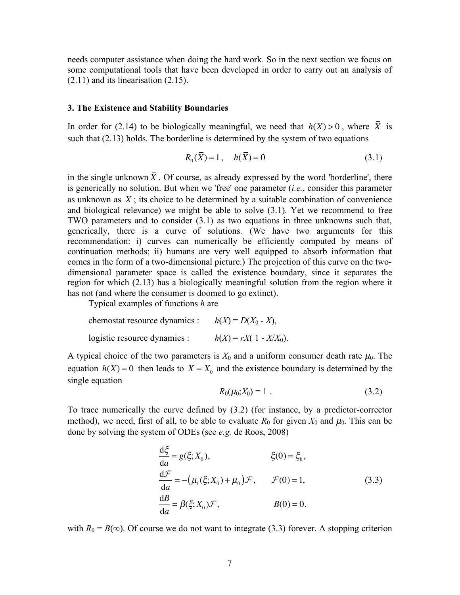needs computer assistance when doing the hard work. So in the next section we focus on some computational tools that have been developed in order to carry out an analysis of (2.11) and its linearisation (2.15).

#### **3. The Existence and Stability Boundaries**

In order for (2.14) to be biologically meaningful, we need that  $h(\bar{X}) > 0$ , where  $\bar{X}$  is such that (2.13) holds. The borderline is determined by the system of two equations

$$
R_0(\bar{X}) = 1, \quad h(\bar{X}) = 0 \tag{3.1}
$$

in the single unknown  $\bar{X}$ . Of course, as already expressed by the word 'borderline', there is generically no solution. But when we 'free' one parameter (*i.e.*, consider this parameter as unknown as  $\bar{X}$ ; its choice to be determined by a suitable combination of convenience and biological relevance) we might be able to solve (3.1). Yet we recommend to free TWO parameters and to consider (3.1) as two equations in three unknowns such that, generically, there is a curve of solutions. (We have two arguments for this recommendation: i) curves can numerically be efficiently computed by means of continuation methods; ii) humans are very well equipped to absorb information that comes in the form of a two-dimensional picture.) The projection of this curve on the twodimensional parameter space is called the existence boundary, since it separates the region for which (2.13) has a biologically meaningful solution from the region where it has not (and where the consumer is doomed to go extinct).

Typical examples of functions *h* are

chemostat resource dynamics: 
$$
h(X) = D(X_0 - X)
$$
,

\nlogistic resource dynamics:  $h(X) = rX(1 - X/X_0)$ .

A typical choice of the two parameters is  $X_0$  and a uniform consumer death rate  $\mu_0$ . The equation  $h(\overline{X}) = 0$  then leads to  $\overline{X} = X_0$  and the existence boundary is determined by the single equation

$$
R_0(\mu_0; X_0) = 1 \tag{3.2}
$$

To trace numerically the curve defined by (3.2) (for instance, by a predictor-corrector method), we need, first of all, to be able to evaluate  $R_0$  for given  $X_0$  and  $\mu_0$ . This can be done by solving the system of ODEs (see *e.g.* de Roos, 2008)

$$
\frac{d\xi}{da} = g(\xi; X_0), \qquad \xi(0) = \xi_b,
$$
  
\n
$$
\frac{d\mathcal{F}}{da} = -(\mu_1(\xi; X_0) + \mu_0)\mathcal{F}, \qquad \mathcal{F}(0) = 1,
$$
  
\n
$$
\frac{dB}{da} = \beta(\xi; X_0)\mathcal{F}, \qquad B(0) = 0.
$$
\n(3.3)

with  $R_0 = B(\infty)$ . Of course we do not want to integrate (3.3) forever. A stopping criterion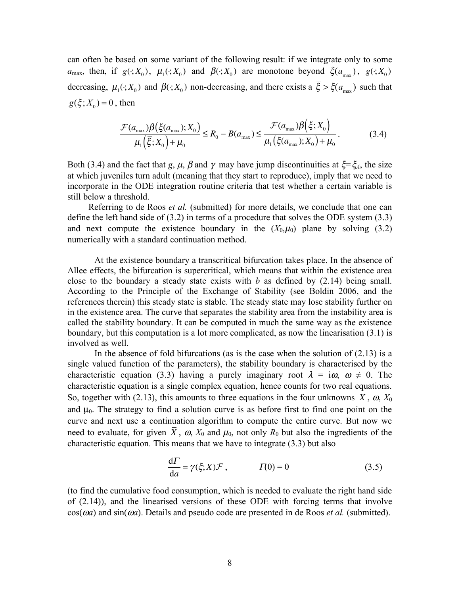can often be based on some variant of the following result: if we integrate only to some  $a_{\text{max}}$ , then, if  $g(\cdot; X_0)$ ,  $\mu_1(\cdot; X_0)$  and  $\beta(\cdot; X_0)$  are monotone beyond  $\xi(a_{\text{max}})$ ,  $g(\cdot; X_0)$ decreasing,  $\mu_1(\cdot; X_0)$  and  $\beta(\cdot; X_0)$  non-decreasing, and there exists a  $\bar{\xi} > \xi(a_{\max})$  such that  $g(\overline{\xi}; X_0) = 0$ , then

$$
\frac{\mathcal{F}(a_{\max})\beta(\xi(a_{\max});X_0)}{\mu_1(\overline{\xi};X_0)+\mu_0} \le R_0 - B(a_{\max}) \le \frac{\mathcal{F}(a_{\max})\beta(\overline{\xi};X_0)}{\mu_1(\xi(a_{\max});X_0)+\mu_0}.
$$
\n(3.4)

Both (3.4) and the fact that *g*,  $\mu$ ,  $\beta$  and  $\gamma$  may have jump discontinuities at  $\xi = \xi_A$ , the size at which juveniles turn adult (meaning that they start to reproduce), imply that we need to incorporate in the ODE integration routine criteria that test whether a certain variable is still below a threshold.

Referring to de Roos *et al.* (submitted) for more details, we conclude that one can define the left hand side of (3.2) in terms of a procedure that solves the ODE system (3.3) and next compute the existence boundary in the  $(X_0, \mu_0)$  plane by solving (3.2) numerically with a standard continuation method.

At the existence boundary a transcritical bifurcation takes place. In the absence of Allee effects, the bifurcation is supercritical, which means that within the existence area close to the boundary a steady state exists with  $b$  as defined by  $(2.14)$  being small. According to the Principle of the Exchange of Stability (see Boldin 2006, and the references therein) this steady state is stable. The steady state may lose stability further on in the existence area. The curve that separates the stability area from the instability area is called the stability boundary. It can be computed in much the same way as the existence boundary, but this computation is a lot more complicated, as now the linearisation (3.1) is involved as well.

In the absence of fold bifurcations (as is the case when the solution of (2.13) is a single valued function of the parameters), the stability boundary is characterised by the characteristic equation (3.3) having a purely imaginary root  $\lambda = i\omega$ ,  $\omega \neq 0$ . The characteristic equation is a single complex equation, hence counts for two real equations. So, together with (2.13), this amounts to three equations in the four unknowns  $\bar{X}$ ,  $\omega$ ,  $X_0$ and  $\mu_0$ . The strategy to find a solution curve is as before first to find one point on the curve and next use a continuation algorithm to compute the entire curve. But now we need to evaluate, for given  $\overline{X}$ ,  $\omega$ ,  $X_0$  and  $\mu_0$ , not only  $R_0$  but also the ingredients of the characteristic equation. This means that we have to integrate (3.3) but also

$$
\frac{\mathrm{d}\Gamma}{\mathrm{d}a} = \gamma(\xi; \bar{X})\mathcal{F}, \qquad \qquad \Gamma(0) = 0 \tag{3.5}
$$

(to find the cumulative food consumption, which is needed to evaluate the right hand side of (2.14)), and the linearised versions of these ODE with forcing terms that involve cos(ω*a*) and sin(ω*a*). Details and pseudo code are presented in de Roos *et al.* (submitted).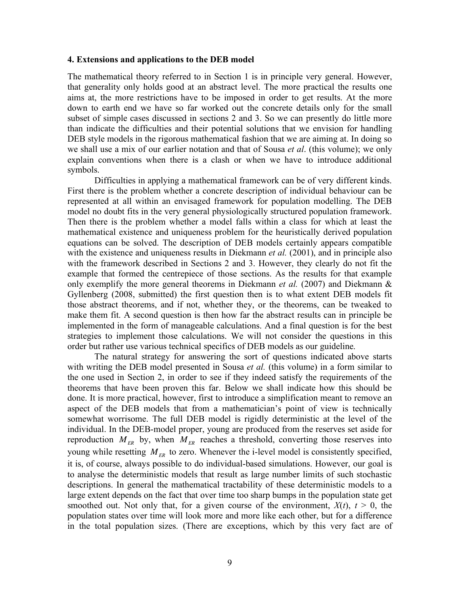#### **4. Extensions and applications to the DEB model**

The mathematical theory referred to in Section 1 is in principle very general. However, that generality only holds good at an abstract level. The more practical the results one aims at, the more restrictions have to be imposed in order to get results. At the more down to earth end we have so far worked out the concrete details only for the small subset of simple cases discussed in sections 2 and 3. So we can presently do little more than indicate the difficulties and their potential solutions that we envision for handling DEB style models in the rigorous mathematical fashion that we are aiming at. In doing so we shall use a mix of our earlier notation and that of Sousa *et al*. (this volume); we only explain conventions when there is a clash or when we have to introduce additional symbols.

Difficulties in applying a mathematical framework can be of very different kinds. First there is the problem whether a concrete description of individual behaviour can be represented at all within an envisaged framework for population modelling. The DEB model no doubt fits in the very general physiologically structured population framework. Then there is the problem whether a model falls within a class for which at least the mathematical existence and uniqueness problem for the heuristically derived population equations can be solved. The description of DEB models certainly appears compatible with the existence and uniqueness results in Diekmann *et al.* (2001), and in principle also with the framework described in Sections 2 and 3. However, they clearly do not fit the example that formed the centrepiece of those sections. As the results for that example only exemplify the more general theorems in Diekmann *et al.* (2007) and Diekmann & Gyllenberg (2008, submitted) the first question then is to what extent DEB models fit those abstract theorems, and if not, whether they, or the theorems, can be tweaked to make them fit. A second question is then how far the abstract results can in principle be implemented in the form of manageable calculations. And a final question is for the best strategies to implement those calculations. We will not consider the questions in this order but rather use various technical specifics of DEB models as our guideline.

The natural strategy for answering the sort of questions indicated above starts with writing the DEB model presented in Sousa *et al.* (this volume) in a form similar to the one used in Section 2, in order to see if they indeed satisfy the requirements of the theorems that have been proven this far. Below we shall indicate how this should be done. It is more practical, however, first to introduce a simplification meant to remove an aspect of the DEB models that from a mathematician's point of view is technically somewhat worrisome. The full DEB model is rigidly deterministic at the level of the individual. In the DEB-model proper, young are produced from the reserves set aside for reproduction  $M_{ER}$  by, when  $M_{ER}$  reaches a threshold, converting those reserves into young while resetting  $M_{ER}$  to zero. Whenever the i-level model is consistently specified, it is, of course, always possible to do individual-based simulations. However, our goal is to analyse the deterministic models that result as large number limits of such stochastic descriptions. In general the mathematical tractability of these deterministic models to a large extent depends on the fact that over time too sharp bumps in the population state get smoothed out. Not only that, for a given course of the environment,  $X(t)$ ,  $t > 0$ , the population states over time will look more and more like each other, but for a difference in the total population sizes. (There are exceptions, which by this very fact are of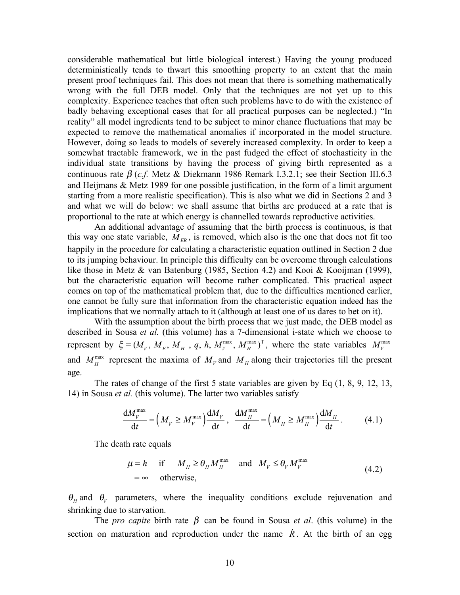considerable mathematical but little biological interest.) Having the young produced deterministically tends to thwart this smoothing property to an extent that the main present proof techniques fail. This does not mean that there is something mathematically wrong with the full DEB model. Only that the techniques are not yet up to this complexity. Experience teaches that often such problems have to do with the existence of badly behaving exceptional cases that for all practical purposes can be neglected.) "In reality" all model ingredients tend to be subject to minor chance fluctuations that may be expected to remove the mathematical anomalies if incorporated in the model structure. However, doing so leads to models of severely increased complexity. In order to keep a somewhat tractable framework, we in the past fudged the effect of stochasticity in the individual state transitions by having the process of giving birth represented as a continuous rate  $\beta$  (*c.f.* Metz & Diekmann 1986 Remark I.3.2.1; see their Section III.6.3 and Heijmans & Metz 1989 for one possible justification, in the form of a limit argument starting from a more realistic specification). This is also what we did in Sections 2 and 3 and what we will do below: we shall assume that births are produced at a rate that is proportional to the rate at which energy is channelled towards reproductive activities.

An additional advantage of assuming that the birth process is continuous, is that this way one state variable,  $M_{FR}$ , is removed, which also is the one that does not fit too happily in the procedure for calculating a characteristic equation outlined in Section 2 due to its jumping behaviour. In principle this difficulty can be overcome through calculations like those in Metz & van Batenburg (1985, Section 4.2) and Kooi & Kooijman (1999), but the characteristic equation will become rather complicated. This practical aspect comes on top of the mathematical problem that, due to the difficulties mentioned earlier, one cannot be fully sure that information from the characteristic equation indeed has the implications that we normally attach to it (although at least one of us dares to bet on it).

With the assumption about the birth process that we just made, the DEB model as described in Sousa *et al.* (this volume) has a 7-dimensional i-state which we choose to represent by  $\xi = (M_V, M_E, M_H, q, h, M_V^{\text{max}}, M_H^{\text{max}})^T$ , where the state variables  $M_V^{\text{max}}$ and  $M_H^{\text{max}}$  represent the maxima of  $M_V$  and  $M_H$  along their trajectories till the present age.

The rates of change of the first 5 state variables are given by Eq  $(1, 8, 9, 12, 13, 14)$ 14) in Sousa *et al.* (this volume). The latter two variables satisfy

$$
\frac{dM_{V}^{\max}}{dt} = \left(M_{V} \ge M_{V}^{\max}\right) \frac{dM_{V}}{dt}, \quad \frac{dM_{H}^{\max}}{dt} = \left(M_{H} \ge M_{H}^{\max}\right) \frac{dM_{H}}{dt}.
$$
 (4.1)

The death rate equals

$$
\mu = h \quad \text{if} \quad M_H \ge \theta_H M_H^{\text{max}} \quad \text{and} \quad M_V \le \theta_V M_V^{\text{max}} \tag{4.2}
$$
\n
$$
= \infty \quad \text{otherwise},
$$

 $\theta_H$  and  $\theta_V$  parameters, where the inequality conditions exclude rejuvenation and shrinking due to starvation.

The *pro capite* birth rate  $\beta$  can be found in Sousa *et al.* (this volume) in the section on maturation and reproduction under the name  $\dot{R}$ . At the birth of an egg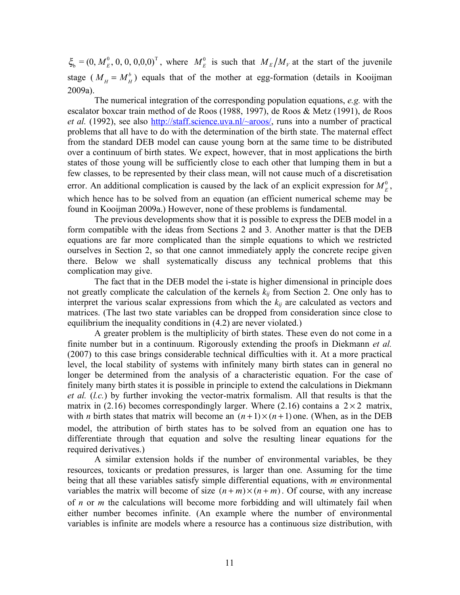$\xi_b = (0, M_E^0, 0, 0, 0, 0, 0)^T$ , where  $M_E^0$  is such that  $M_E/M_V$  at the start of the juvenile stage ( $M_H = M_H^b$ ) equals that of the mother at egg-formation (details in Kooijman 2009a).

The numerical integration of the corresponding population equations, *e.g.* with the escalator boxcar train method of de Roos (1988, 1997), de Roos & Metz (1991), de Roos *et al.* (1992), see also http://staff.science.uva.nl/~aroos/, runs into a number of practical problems that all have to do with the determination of the birth state. The maternal effect from the standard DEB model can cause young born at the same time to be distributed over a continuum of birth states. We expect, however, that in most applications the birth states of those young will be sufficiently close to each other that lumping them in but a few classes, to be represented by their class mean, will not cause much of a discretisation error. An additional complication is caused by the lack of an explicit expression for  $M_{E}^{0}$ , which hence has to be solved from an equation (an efficient numerical scheme may be found in Kooijman 2009a.) However, none of these problems is fundamental.

The previous developments show that it is possible to express the DEB model in a form compatible with the ideas from Sections 2 and 3. Another matter is that the DEB equations are far more complicated than the simple equations to which we restricted ourselves in Section 2, so that one cannot immediately apply the concrete recipe given there. Below we shall systematically discuss any technical problems that this complication may give.

The fact that in the DEB model the i-state is higher dimensional in principle does not greatly complicate the calculation of the kernels  $k_{ij}$  from Section 2. One only has to interpret the various scalar expressions from which the  $k_{ij}$  are calculated as vectors and matrices. (The last two state variables can be dropped from consideration since close to equilibrium the inequality conditions in (4.2) are never violated.)

A greater problem is the multiplicity of birth states. These even do not come in a finite number but in a continuum. Rigorously extending the proofs in Diekmann *et al.* (2007) to this case brings considerable technical difficulties with it. At a more practical level, the local stability of systems with infinitely many birth states can in general no longer be determined from the analysis of a characteristic equation. For the case of finitely many birth states it is possible in principle to extend the calculations in Diekmann *et al.* (*l.c.*) by further invoking the vector-matrix formalism. All that results is that the matrix in (2.16) becomes correspondingly larger. Where (2.16) contains a  $2 \times 2$  matrix, with *n* birth states that matrix will become an  $(n+1) \times (n+1)$  one. (When, as in the DEB model, the attribution of birth states has to be solved from an equation one has to differentiate through that equation and solve the resulting linear equations for the required derivatives.)

A similar extension holds if the number of environmental variables, be they resources, toxicants or predation pressures, is larger than one. Assuming for the time being that all these variables satisfy simple differential equations, with *m* environmental variables the matrix will become of size  $(n+m) \times (n+m)$ . Of course, with any increase of *n* or *m* the calculations will become more forbidding and will ultimately fail when either number becomes infinite. (An example where the number of environmental variables is infinite are models where a resource has a continuous size distribution, with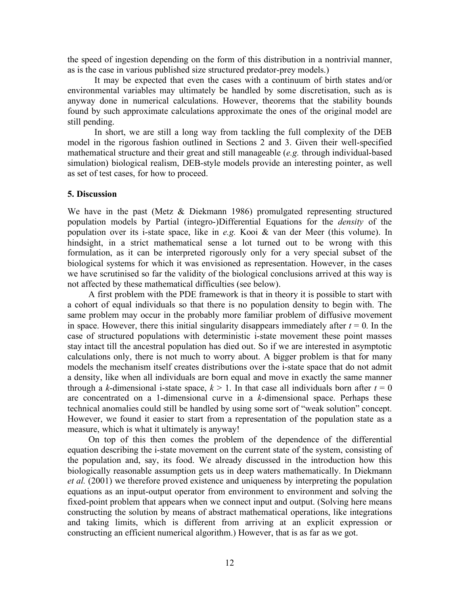the speed of ingestion depending on the form of this distribution in a nontrivial manner, as is the case in various published size structured predator-prey models.)

It may be expected that even the cases with a continuum of birth states and/or environmental variables may ultimately be handled by some discretisation, such as is anyway done in numerical calculations. However, theorems that the stability bounds found by such approximate calculations approximate the ones of the original model are still pending.

In short, we are still a long way from tackling the full complexity of the DEB model in the rigorous fashion outlined in Sections 2 and 3. Given their well-specified mathematical structure and their great and still manageable (*e.g.* through individual-based simulation) biological realism, DEB-style models provide an interesting pointer, as well as set of test cases, for how to proceed.

### **5. Discussion**

We have in the past (Metz & Diekmann 1986) promulgated representing structured population models by Partial (integro-)Differential Equations for the *density* of the population over its i-state space, like in *e.g.* Kooi & van der Meer (this volume). In hindsight, in a strict mathematical sense a lot turned out to be wrong with this formulation, as it can be interpreted rigorously only for a very special subset of the biological systems for which it was envisioned as representation. However, in the cases we have scrutinised so far the validity of the biological conclusions arrived at this way is not affected by these mathematical difficulties (see below).

A first problem with the PDE framework is that in theory it is possible to start with a cohort of equal individuals so that there is no population density to begin with. The same problem may occur in the probably more familiar problem of diffusive movement in space. However, there this initial singularity disappears immediately after  $t = 0$ . In the case of structured populations with deterministic i-state movement these point masses stay intact till the ancestral population has died out. So if we are interested in asymptotic calculations only, there is not much to worry about. A bigger problem is that for many models the mechanism itself creates distributions over the i-state space that do not admit a density, like when all individuals are born equal and move in exactly the same manner through a *k*-dimensional i-state space,  $k > 1$ . In that case all individuals born after  $t = 0$ are concentrated on a 1-dimensional curve in a *k*-dimensional space. Perhaps these technical anomalies could still be handled by using some sort of "weak solution" concept. However, we found it easier to start from a representation of the population state as a measure, which is what it ultimately is anyway!

On top of this then comes the problem of the dependence of the differential equation describing the i-state movement on the current state of the system, consisting of the population and, say, its food. We already discussed in the introduction how this biologically reasonable assumption gets us in deep waters mathematically. In Diekmann *et al.* (2001) we therefore proved existence and uniqueness by interpreting the population equations as an input-output operator from environment to environment and solving the fixed-point problem that appears when we connect input and output. (Solving here means constructing the solution by means of abstract mathematical operations, like integrations and taking limits, which is different from arriving at an explicit expression or constructing an efficient numerical algorithm.) However, that is as far as we got.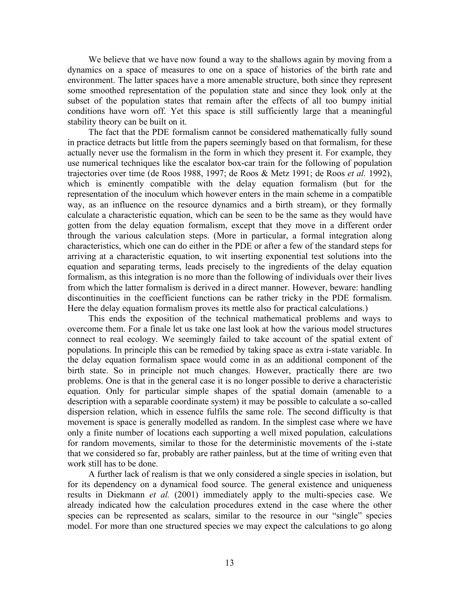We believe that we have now found a way to the shallows again by moving from a dynamics on a space of measures to one on a space of histories of the birth rate and environment. The latter spaces have a more amenable structure, both since they represent some smoothed representation of the population state and since they look only at the subset of the population states that remain after the effects of all too bumpy initial conditions have worn off. Yet this space is still sufficiently large that a meaningful stability theory can be built on it.

The fact that the PDE formalism cannot be considered mathematically fully sound in practice detracts but little from the papers seemingly based on that formalism, for these actually never use the formalism in the form in which they present it. For example, they use numerical techniques like the escalator box-car train for the following of population trajectories over time (de Roos 1988, 1997; de Roos & Metz 1991; de Roos *et al.* 1992), which is eminently compatible with the delay equation formalism (but for the representation of the inoculum which however enters in the main scheme in a compatible way, as an influence on the resource dynamics and a birth stream), or they formally calculate a characteristic equation, which can be seen to be the same as they would have gotten from the delay equation formalism, except that they move in a different order through the various calculation steps. (More in particular, a formal integration along characteristics, which one can do either in the PDE or after a few of the standard steps for arriving at a characteristic equation, to wit inserting exponential test solutions into the equation and separating terms, leads precisely to the ingredients of the delay equation formalism, as this integration is no more than the following of individuals over their lives from which the latter formalism is derived in a direct manner. However, beware: handling discontinuities in the coefficient functions can be rather tricky in the PDE formalism. Here the delay equation formalism proves its mettle also for practical calculations.)

This ends the exposition of the technical mathematical problems and ways to overcome them. For a finale let us take one last look at how the various model structures connect to real ecology. We seemingly failed to take account of the spatial extent of populations. In principle this can be remedied by taking space as extra i-state variable. In the delay equation formalism space would come in as an additional component of the birth state. So in principle not much changes. However, practically there are two problems. One is that in the general case it is no longer possible to derive a characteristic equation. Only for particular simple shapes of the spatial domain (amenable to a description with a separable coordinate system) it may be possible to calculate a so-called dispersion relation, which in essence fulfils the same role. The second difficulty is that movement is space is generally modelled as random. In the simplest case where we have only a finite number of locations each supporting a well mixed population, calculations for random movements, similar to those for the deterministic movements of the i-state that we considered so far, probably are rather painless, but at the time of writing even that work still has to be done.

A further lack of realism is that we only considered a single species in isolation, but for its dependency on a dynamical food source. The general existence and uniqueness results in Diekmann *et al.* (2001) immediately apply to the multi-species case. We already indicated how the calculation procedures extend in the case where the other species can be represented as scalars, similar to the resource in our "single" species model. For more than one structured species we may expect the calculations to go along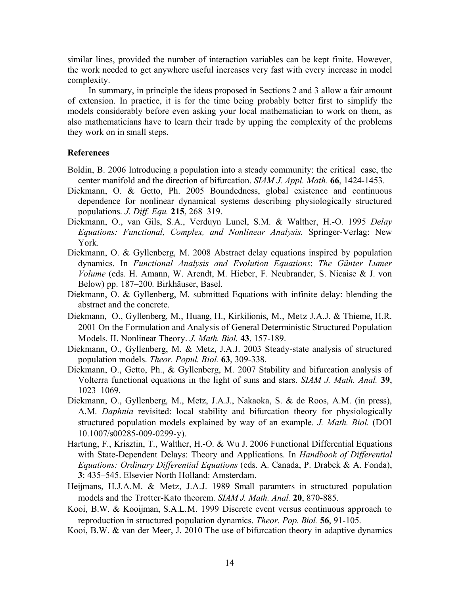similar lines, provided the number of interaction variables can be kept finite. However, the work needed to get anywhere useful increases very fast with every increase in model complexity.

In summary, in principle the ideas proposed in Sections 2 and 3 allow a fair amount of extension. In practice, it is for the time being probably better first to simplify the models considerably before even asking your local mathematician to work on them, as also mathematicians have to learn their trade by upping the complexity of the problems they work on in small steps.

## **References**

- Boldin, B. 2006 Introducing a population into a steady community: the critical case, the center manifold and the direction of bifurcation. *SIAM J. Appl. Math.* **66**, 1424-1453.
- Diekmann, O. & Getto, Ph. 2005 Boundedness, global existence and continuous dependence for nonlinear dynamical systems describing physiologically structured populations. *J. Diff. Equ.* **215**, 268–319.
- Diekmann, O., van Gils, S.A., Verduyn Lunel, S.M. & Walther, H.-O. 1995 *Delay Equations: Functional, Complex, and Nonlinear Analysis.* Springer-Verlag: New York.
- Diekmann, O. & Gyllenberg, M. 2008 Abstract delay equations inspired by population dynamics. In *Functional Analysis and Evolution Equations*: *The Günter Lumer Volume* (eds. H. Amann, W. Arendt, M. Hieber, F. Neubrander, S. Nicaise & J. von Below) pp. 187–200. Birkhäuser, Basel.
- Diekmann, O. & Gyllenberg, M. submitted Equations with infinite delay: blending the abstract and the concrete.
- Diekmann, O., Gyllenberg, M., Huang, H., Kirkilionis, M., Metz J.A.J. & Thieme, H.R. 2001 On the Formulation and Analysis of General Deterministic Structured Population Models. II. Nonlinear Theory. *J. Math. Biol.* **43**, 157-189.
- Diekmann, O., Gyllenberg, M. & Metz, J.A.J. 2003 Steady-state analysis of structured population models. *Theor. Popul. Biol.* **63**, 309-338.
- Diekmann, O., Getto, Ph., & Gyllenberg, M. 2007 Stability and bifurcation analysis of Volterra functional equations in the light of suns and stars. *SIAM J. Math. Anal.* **39**, 1023–1069.
- Diekmann, O., Gyllenberg, M., Metz, J.A.J., Nakaoka, S. & de Roos, A.M. (in press), A.M. *Daphnia* revisited: local stability and bifurcation theory for physiologically structured population models explained by way of an example. *J. Math. Biol.* (DOI 10.1007/s00285-009-0299-y).
- Hartung, F., Krisztin, T., Walther, H.-O. & Wu J. 2006 Functional Differential Equations with State-Dependent Delays: Theory and Applications. In *Handbook of Differential Equations: Ordinary Differential Equations* (eds. A. Canada, P. Drabek & A. Fonda), **3**: 435–545. Elsevier North Holland: Amsterdam.
- Heijmans, H.J.A.M. & Metz, J.A.J. 1989 Small paramters in structured population models and the Trotter-Kato theorem. *SIAM J. Math. Anal.* **20**, 870-885.
- Kooi, B.W. & Kooijman, S.A.L.M. 1999 Discrete event versus continuous approach to reproduction in structured population dynamics. *Theor. Pop. Biol.* **56**, 91-105.
- Kooi, B.W. & van der Meer, J. 2010 The use of bifurcation theory in adaptive dynamics